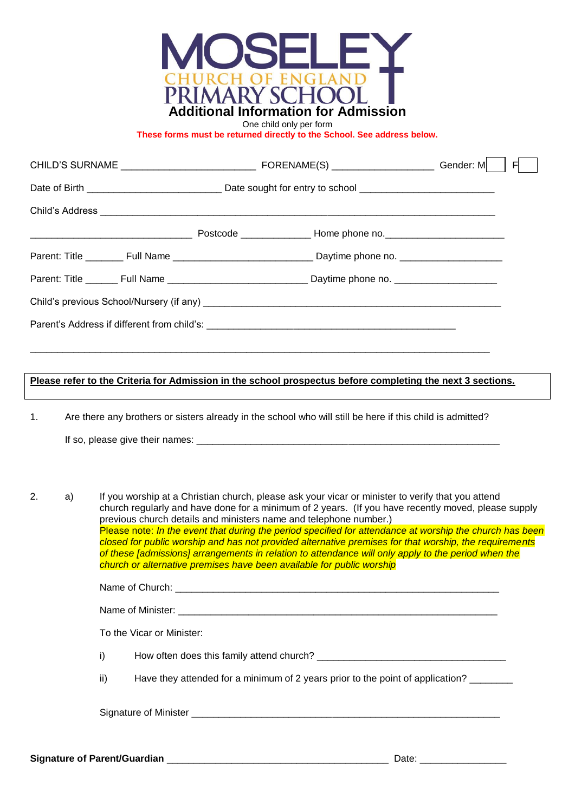

One child only per form

**These forms must be returned directly to the School. See address below.**

|                                                                                                                |  |  |  | F. |
|----------------------------------------------------------------------------------------------------------------|--|--|--|----|
|                                                                                                                |  |  |  |    |
|                                                                                                                |  |  |  |    |
|                                                                                                                |  |  |  |    |
|                                                                                                                |  |  |  |    |
| Parent: Title ________ Full Name _________________________________Daytime phone no. __________________________ |  |  |  |    |
|                                                                                                                |  |  |  |    |
|                                                                                                                |  |  |  |    |
|                                                                                                                |  |  |  |    |

### **Please refer to the Criteria for Admission in the school prospectus before completing the next 3 sections.**

1. Are there any brothers or sisters already in the school who will still be here if this child is admitted? If so, please give their names: \_\_\_\_\_\_\_\_\_\_\_\_\_\_\_\_\_\_\_\_\_\_\_\_\_\_\_\_\_\_\_\_\_\_\_\_\_\_\_\_\_\_\_\_\_\_\_\_\_\_\_\_\_\_\_\_

2. a) If you worship at a Christian church, please ask your vicar or minister to verify that you attend church regularly and have done for a minimum of 2 years. (If you have recently moved, please supply previous church details and ministers name and telephone number.) Please note: *In the event that during the period specified for attendance at worship the church has been closed for public worship and has not provided alternative premises for that worship, the requirements of these [admissions] arrangements in relation to attendance will only apply to the period when the church or alternative premises have been available for public worship*

|     | To the Vicar or Minister:                                                      |
|-----|--------------------------------------------------------------------------------|
| i)  |                                                                                |
| ii) | Have they attended for a minimum of 2 years prior to the point of application? |
|     |                                                                                |